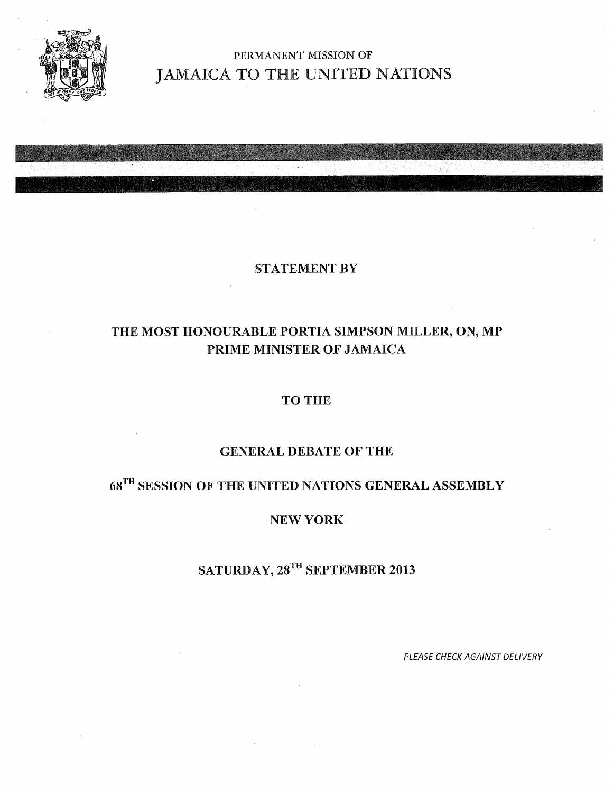

## PERMANENT MISSION OF JAMAICA TO THE UNITED NATIONS

## **STATEMENT BY**

## THE MOST HONOURABLE PORTIA SIMPSON MILLER, ON, MP PRIME MINISTER OF JAMAICA

## **TO THE**

## **GENERAL DEBATE OF THE**

# 68<sup>TH</sup> SESSION OF THE UNITED NATIONS GENERAL ASSEMBLY

## **NEW YORK**

# SATURDAY, 28<sup>TH</sup> SEPTEMBER 2013

PLEASE CHECK AGAINST DELIVERY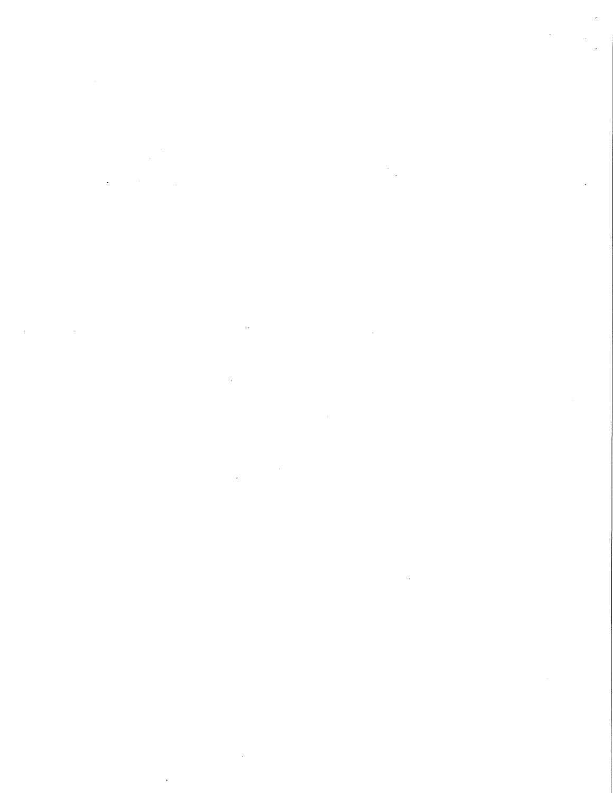$\mathcal{L}_{\text{max}}$ 

 $\mathcal{L}^{\text{max}}_{\text{max}}$  and  $\mathcal{L}^{\text{max}}_{\text{max}}$ 

 $\frac{1}{2}$  .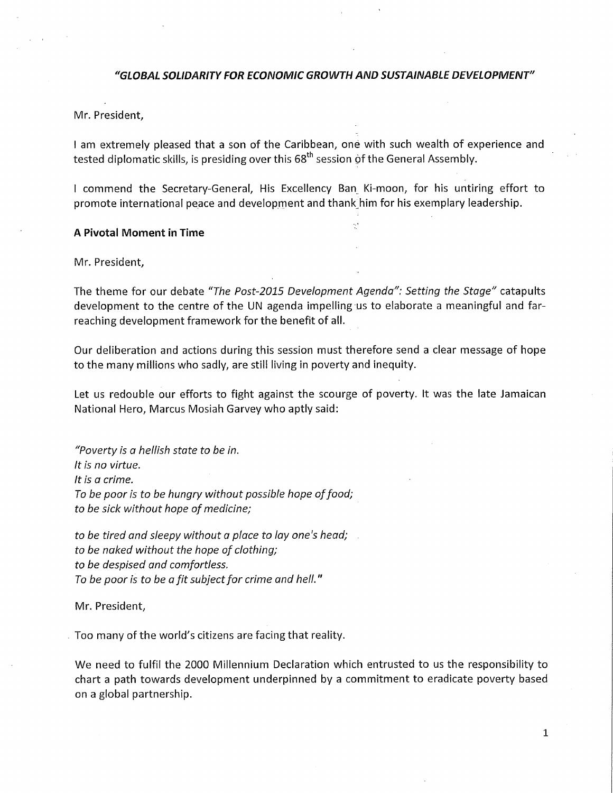#### "GLOBAL SOLIDARITY FOR ECONOMIC GROWTH AND SUSTAINABLE DEVELOPMENT"

Mr. President,

I am extremely pleased that a son of the Caribbean, one with such wealth of experience and tested diplomatic skills, is presiding over this  $68<sup>th</sup>$  session of the General Assembly.

I commend the Secretary-General, His Excellency Ban Ki-moon, for his untiring effort to promote international peace and development and thankhim for his exemplary leadership.

#### A Pivotal Moment in Time

Mr. President,

The theme for our debate "The Post-2015 Development Agenda": Setting the Stage" catapults development to the centre of the UN agenda impelling us to elaborate a meaningful and farreaching development framework for the benefit of all.

Our deliberation and actions during this session must therefore send a clear message of hope to the many millions who sadly, are still living in poverty and inequity.

Let us redouble our efforts to fight against the scourge of poverty. It was the late Jamaican National Hero, Marcus Mosiah Garvey who aptly said:

"Poverty is a hellish state to be in. It is no virtue. It is a crime. To be poor is to be hungry without possible hope of food; to be sick without hope of medicine;

to be tired and sleepy without a place to lay one's head; to be naked without the hope of clothing; to be despised and comfortless. To be poor is to be a fit subject for crime and hell."

Mr. President,

Too many of the world's citizens are facing that reality.

We need to fulfil the 2000 Millennium Declaration which entrusted to us the responsibility to chart a path towards development underpinned by a commitment to eradicate poverty based on a global partnership.

 $\mathbf{1}$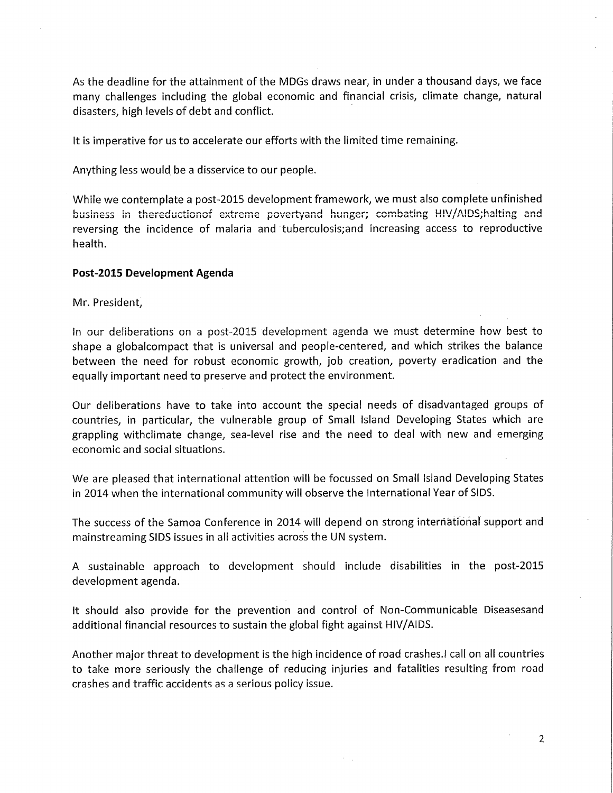As the deadline for the attainment of the MDGs draws near, in under a thousand days, we face many challenges including the global economic and financial crisis, climate change, natural disasters, high levels of debt and conflict.

It is imperative for us to accelerate our efforts with the limited time remaining.

Anything less would be a disservice to our people.

While we contemplate a post-2015 development framework, we must also complete unfinished business in thereductionof extreme povertyand hunger; combating HIV/AIDS;halting and reversing the incidence of malaria and tuberculosis; and increasing access to reproductive health.

#### Post-2015 Development Agenda

Mr. President,

In our deliberations on a post-2015 development agenda we must determine how best to shape a globalcompact that is universal and people-centered, and which strikes the balance between the need for robust economic growth, job creation, poverty eradication and the equally important need to preserve and protect the environment.

Our deliberations have to take into account the special needs of disadvantaged groups of countries, in particular, the vulnerable group of Small Island Developing States which are grappling withclimate change, sea-level rise and the need to deal with new and emerging economic and social situations.

We are pleased that international attention will be focussed on Small Island Developing States in 2014 when the international community will observe the International Year of SIDS.

The success of the Samoa Conference in 2014 will depend on strong international support and mainstreaming SIDS issues in all activities across the UN system.

A sustainable approach to development should include disabilities in the post-2015 development agenda.

It should also provide for the prevention and control of Non-Communicable Diseasesand additional financial resources to sustain the global fight against HIV/AIDS.

Another major threat to development is the high incidence of road crashes. I call on all countries to take more seriously the challenge of reducing injuries and fatalities resulting from road crashes and traffic accidents as a serious policy issue.

 $\overline{2}$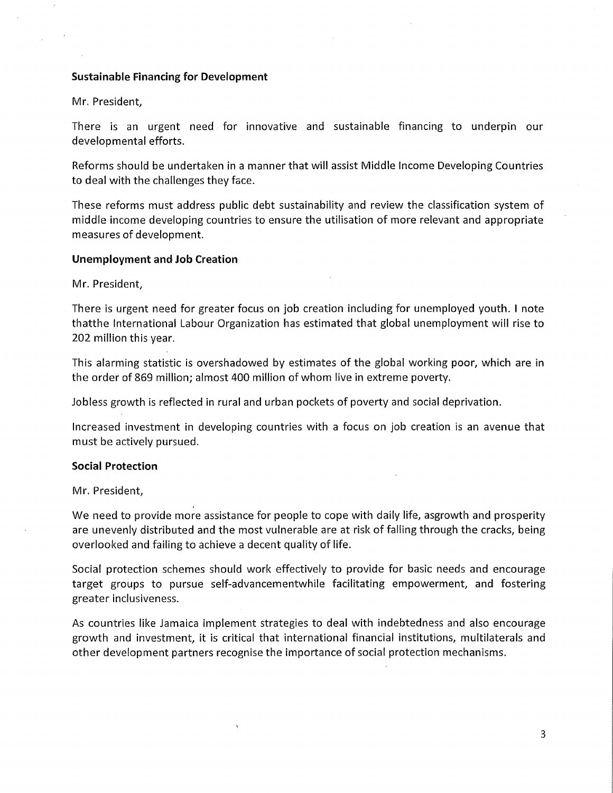#### Sustainable Financing for Development

Mr. President,

There is an urgent need for innovative and sustainable financing to underpin our developmental efforts.

Reforms should be undertaken in a manner that will assist Middle Income Developing Countries to deal with the challenges they face.

These reforms must address public debt sustainability and review the classification system of middle income developing countries to ensure the utilisation of more relevant and appropriate measures of development.

#### Unemployment and Job Creation

Mr. President,

There is urgent need for greater focus on job creation including for unemployed youth. I note thatthe International Labour Organization has estimated that global unemployment will rise to 202 million this year.

This alarming statistic is overshadowed by estimates of the global working poor, which are in the order of 869 million; almost 400 million of whom live in extreme poverty.

Jobless growth is reflected in rural and urban pockets of poverty and social deprivation.

Increased investment in developing countries with a focus on job creation is an avenue that must be actively pursued.

#### Social Protection

Mr. President,

We need to provide more assistance for people to cope with daily life, asgrowth and prosperity are unevenly distributed and the most vulnerable are at risk of falling through the cracks, being overlooked and failing to achieve a decent quality of life.

Social protection schemes should work effectively to provide for basic needs and encourage target groups to pursue self-advancementwhile facilitating empowerment, and fostering greater inclusiveness.

As countries like Jamaica implement strategies to deal with indebtedness and also encourage growth and investment, it is critical that international financial institutions, multilaterals and other development partners recognise the importance of social protection mechanisms.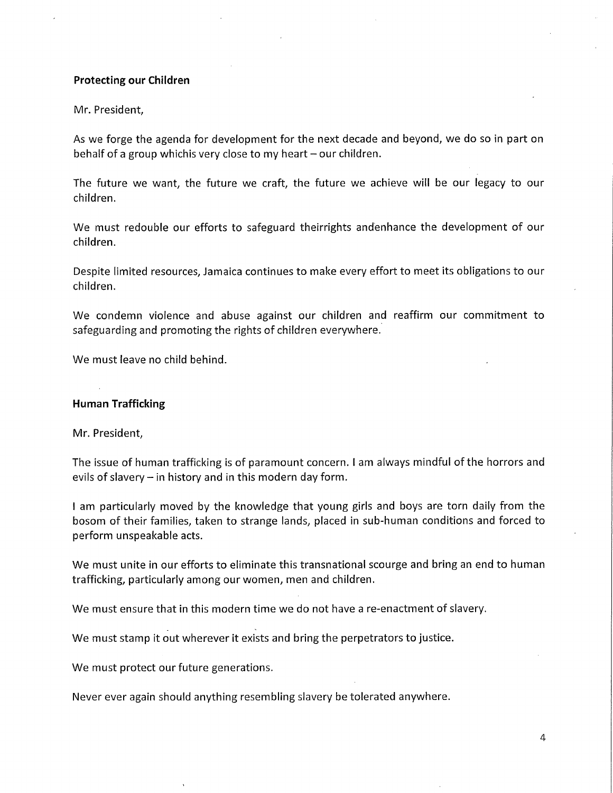### **Protecting our Children**

Mr. President,

As we forge the agenda for development for the next decade and beyond, we do so in part on behalf of a group whichis very close to my heart - our children.

The future we want, the future we craft, the future we achieve will be our legacy to our children.

We must redouble our efforts to safeguard theirrights andenhance the development of our children.

Despite limited resources, Jamaica continues to make every effort to meet its obligations to our children.

We condemn violence and abuse against our children and reaffirm our commitment to safeguarding and promoting the rights of children everywhere.

We must leave no child behind.

### **Human Trafficking**

Mr. President,

The issue of human trafficking is of paramount concern. I am always mindful of the horrors and evils of slavery - in history and in this modern day form.

I am particularly moved by the knowledge that young girls and boys are torn daily from the bosom of their families, taken to strange lands, placed in sub-human conditions and forced to perform unspeakable acts.

We must unite in our efforts to eliminate this transnational scourge and bring an end to human trafficking, particularly among our women, men and children.

We must ensure that in this modern time we do not have a re-enactment of slavery.

We must stamp it out wherever it exists and bring the perpetrators to justice.

We must protect our future generations.

Never ever again should anything resembling slavery be tolerated anywhere.

 $\overline{4}$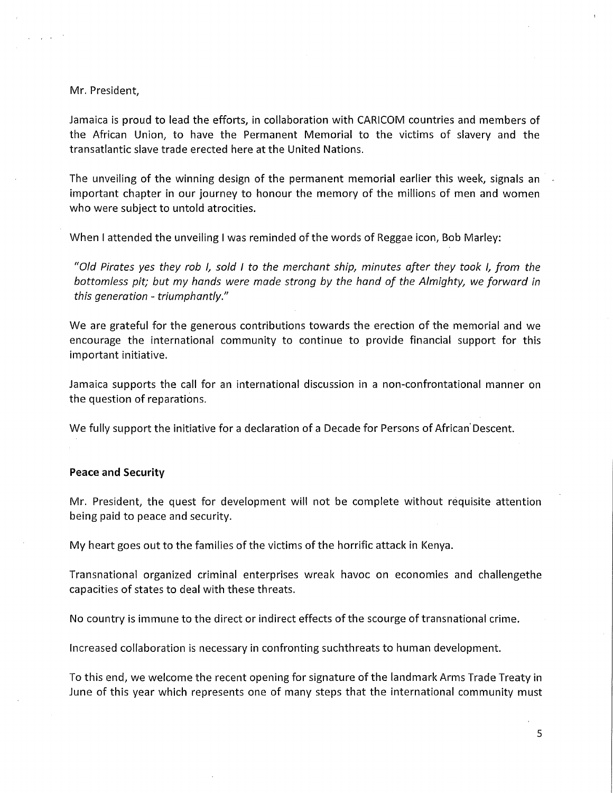#### Mr. President,

Jamaica is proud to lead the efforts, in collaboration with CARICOM countries and members of the African Union, to have the Permanent Memorial to the victims of slavery and the transatlantic slave trade erected here at the United Nations.

The unveiling of the winning design of the permanent memorial earlier this week, signals an important chapter in our journey to honour the memory of the millions of men and women who were subject to untold atrocities.

When I attended the unveiling I was reminded of the words of Reggae icon, Bob Marley:

"Old Pirates yes they rob I, sold I to the merchant ship, minutes after they took I, from the bottomless pit; but my hands were made strong by the hand of the Almighty, we forward in this generation - triumphantly."

We are grateful for the generous contributions towards the erection of the memorial and we encourage the international community to continue to provide financial support for this important initiative.

Jamaica supports the call for an international discussion in a non-confrontational manner on the question of reparations.

We fully support the initiative for a declaration of a Decade for Persons of African' Descent.

#### Peace and Security

Mr. President, the quest for development will not be complete without requisite attention being paid to peace and security.

My heart goes out to the families of the victims of the horrific attack in Kenya.

Transnational organized criminal enterprises wreak havoc on economies and challengethe capacities of states to deal with these threats.

No country is immune to the direct or indirect effects of the scourge of transnational crime.

Increased collaboration is necessary in confronting suchthreats to human development.

To this end, we welcome the recent opening for signature of the landmark Arms Trade Treaty in June of this year which represents one of many steps that the international community must